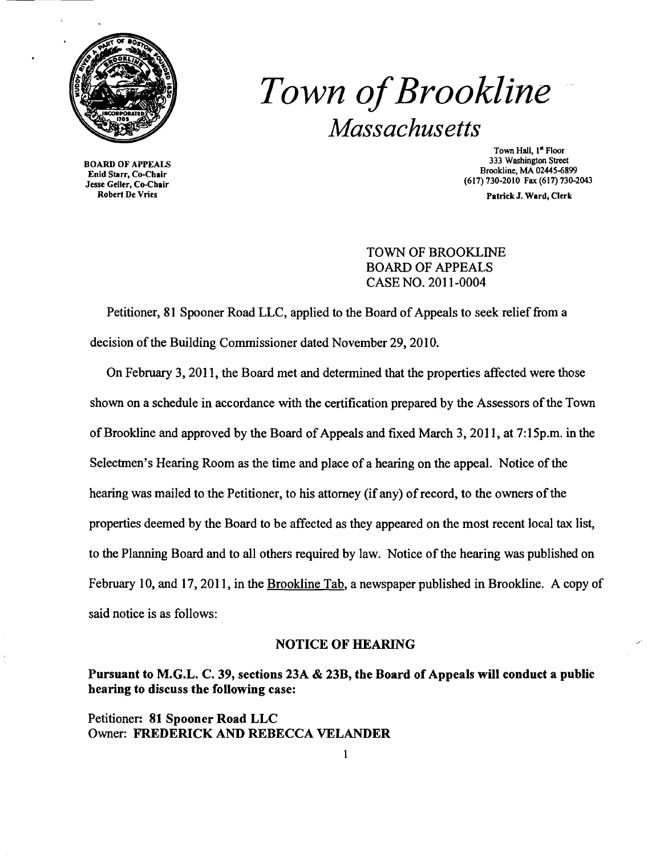

# *Town ofBrookline Massachusetts*

BOARD OF APPEALS Enid Starr, Co-Chair Jesse Geller, Co-Chair Robert De Vries

Town Hall, 1<sup>st</sup> Floor 333 Washington Street Brookline, MA 02445-6899 (617) 730-2010 Fax (617) 730-2043

Patriek J. Ward, Clerk

TOWN OF BROOKLINE BOARD OF APPEALS CASE NO. 2011-0004

Petitioner, 81 Spooner Road LLC, applied to the Board of Appeals to seek relief from a decision of the Building Commissioner dated November 29, 2010.

On February 3,2011, the Board met and determined that the properties affected were those shown on a schedule in accordance with the certification prepared by the Assessors ofthe Town of Brookline and approved by the Board of Appeals and fixed March 3, 2011, at 7:15p.m. in the Selectmen's Hearing Room as the time and place of a hearing on the appeal. Notice of the hearing was mailed to the Petitioner, to his attorney (if any) of record, to the owners of the properties deemed by the Board to be affected as they appeared on the most recent local tax list, to the Planning Board and to all others required by law. Notice of the hearing was published on February 10, and 17, 2011, in the Brookline Tab, a newspaper published in Brookline. A copy of said notice is as follows:

#### **NOTICE OF HEARING**

### Pursuant to M.G.L. C. 39, sections 23A & 23B, the Board of Appeals will conduct a public hearing to discuss the following case:

Petitioner: 81 Spooner Road LLC Owner: FREDERICK AND REBECCA VELANDER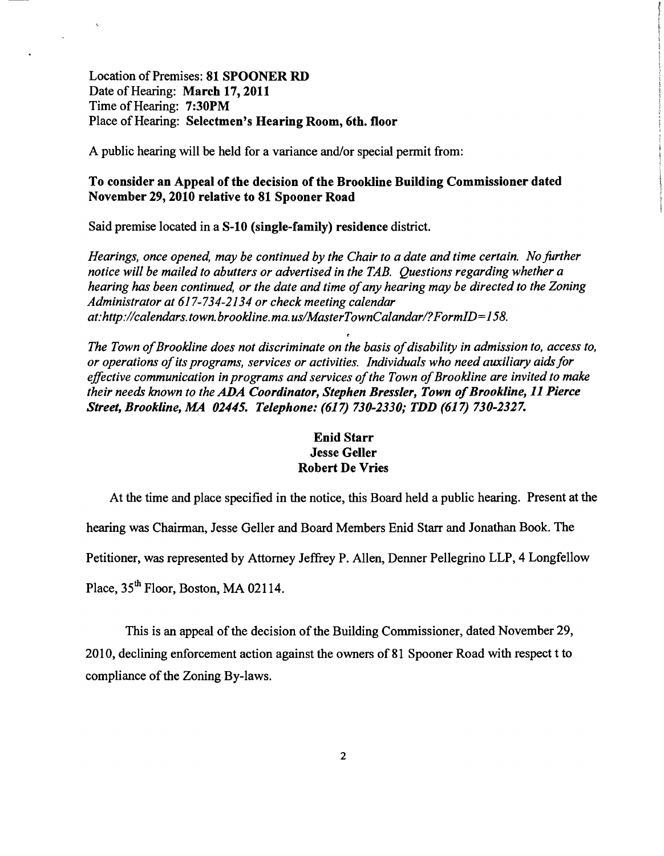Location of Premises: 81 SPOONER RD Date of Hearing: March 17, 2011 Time of Hearing: 7:30PM Place of Hearing: Selectmen's Hearing Room, 6th. floor

A public hearing will be held for a variance and/or special permit from:

#### To consider an Appeal of the decision of the Brookline Building Commissioner dated November 29,2010 relative to 81 Spooner Road

Said premise located in a S-10 (single-family) residence district.

*Hearings, once opened, may be continued by the Chair to a date and time certain. No further notice will be mailed to abutters or advertised in the TAB. Questions regarding whether a hearing has been continued, or the date and time ofany hearing may be directed to the Zoning Administrator at* 617-734-2134 *or check meeting calendar at:http://calendars. town. brookline.ma. uslMasterTownCalandarl?FormID=158.* 

The Town of Brookline does not discriminate on the basis of disability in admission to, access to, *or operations ofits programs, services or activities. Individuals who need auxiliary aidsfor effective communication in programs and services of the Town of Brookline are invited to make their needs known to the* ADA *Coordinator, Stephen Bressler, Town ofBrookline,* 11 *Pierce Street, Brookline, MA 02445. Telephone:* (617) *730-2330; TDD* (617) *730-2327.* 

## Enid Starr Jesse Geller Robert De Vries

At the time and place specified in the notice, this Board held a public hearing. Present at the

hearing was Chairman, Jesse Geller and Board Members Enid Starr and Jonathan Book. The

Petitioner, was represented by Attorney Jeffrey P. Allen, Denner Pellegrino LLP, 4 Longfellow

Place,  $35<sup>th</sup>$  Floor, Boston, MA 02114.

This is an appeal of the decision of the Building Commissioner, dated November 29, 2010, declining enforcement action against the owners of 81 Spooner Road with respect t to compliance of the Zoning By-laws.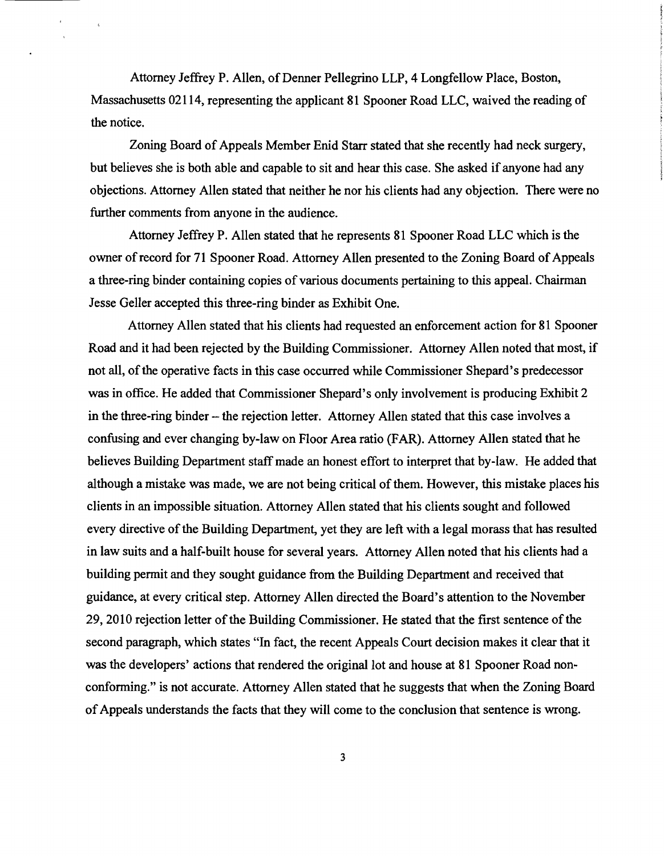Attorney Jeffrey P. Allen, of Denner Pellegrino LLP, 4 Longfellow Place, Boston, Massachusetts 02114, representing the applicant 81 Spooner Road LLC, waived the reading of the notice.

Zoning Board of Appeals Member Enid Starr stated that she recently had neck surgery, but believes she is both able and capable to sit and hear this case. She asked if anyone had any objections. Attorney Allen stated that neither he nor his clients had any objection. There were no further comments from anyone in the audience.

Attorney Jeffrey P. Allen stated that he represents 81 Spooner Road LLC which is the owner of record for 71 Spooner Road. Attorney Allen presented to the Zoning Board of Appeals a three-ring binder containing copies of various documents pertaining to this appeal. Chairman Jesse Geller accepted this three-ring binder as Exhibit One.

Attorney Allen stated that his clients had requested an enforcement action for 81 Spooner Road and it had been rejected by the Building Commissioner. Attorney Allen noted that most, if not all, of the operative facts in this case occurred while Commissioner Shepard's predecessor was in office. He added that Commissioner Shepard's only involvement is producing Exhibit 2 in the three-ring binder - the rejection letter. Attorney Allen stated that this case involves a confusing and ever changing by-law on Floor Area ratio (FAR). Attorney Allen stated that he believes Building Department staff made an honest effort to interpret that by-law. He added that although a mistake was made, we are not being critical of them. However, this mistake places his clients in an impossible situation. Attorney Allen stated that his clients sought and followed every directive of the Building Department, yet they are left with a legal morass that has resulted in law suits and a half-built house for several years. Attorney Allen noted that his clients had a building permit and they sought guidance from the Building Department and received that guidance, at every critical step. Attorney Allen directed the Board's attention to the November 29, 2010 rejection letter of the Building Commissioner. He stated that the first sentence of the second paragraph, which states "In fact, the recent Appeals Court decision makes it clear that it was the developers' actions that rendered the original lot and house at 81 Spooner Road nonconforming." is not accurate. Attorney Allen stated that he suggests that when the Zoning Board ofAppeals understands the facts that they will come to the conclusion that sentence is wrong.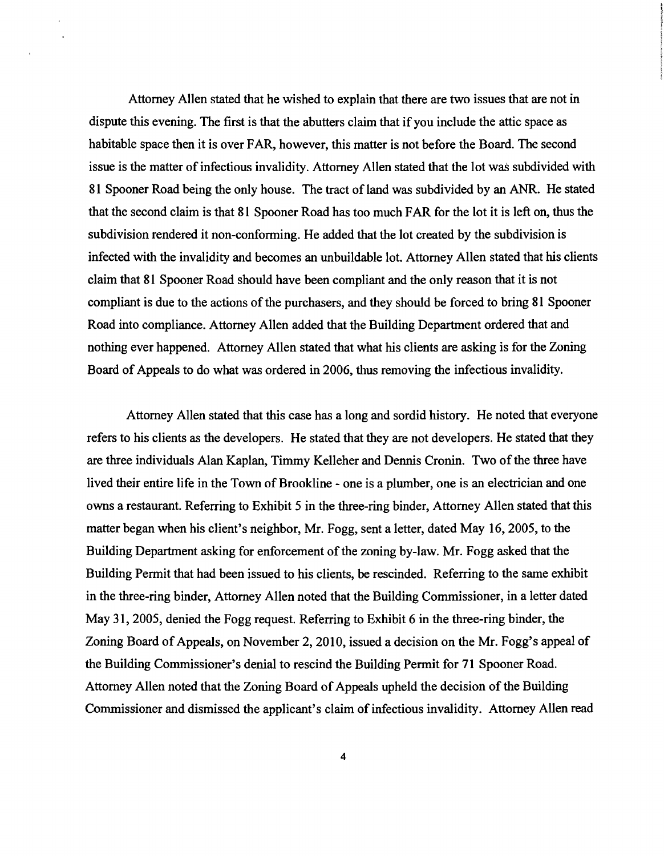Attorney Allen stated that he wished to explain that there are two issues that are not in dispute this evening. The first is that the abutters claim that if you include the attic space as habitable space then it is over FAR, however, this matter is not before the Board. The second issue is the matter of infectious invalidity. Attorney Allen stated that the lot was subdivided with 81 Spooner Road being the only house. The tract of land was subdivided by an ANR. He stated that the second claim is that 81 Spooner Road has too much FAR for the lot it is left on, thus the subdivision rendered it non-conforming. He added that the lot created by the subdivision is infected with the invalidity and becomes an unbuildable lot. Attorney Allen stated that his clients claim that 81 Spooner Road should have been compliant and the only reason that it is not compliant is due to the actions of the purchasers, and they should be forced to bring 81 Spooner Road into compliance. Attorney Allen added that the Building Department ordered that and nothing ever happened. Attorney Allen stated that what his clients are asking is for the Zoning Board of Appeals to do what was ordered in 2006, thus removing the infectious invalidity.

Attorney Allen stated that this case has a long and sordid history. He noted that everyone refers to his clients as the developers. He stated that they are not developers. He stated that they are three individuals Alan Kaplan, Timmy Kelleher and Dennis Cronin. Two of the three have lived their entire life in the Town of Brookline - one is a plumber, one is an electrician and one owns a restaurant. Referring to Exhibit 5 in the three-ring binder, Attorney Allen stated that this matter began when his client's neighbor, Mr. Fogg, sent a letter, dated May 16,2005, to the Building Department asking for enforcement of the zoning by-law. Mr. Fogg asked that the Building Permit that had been issued to his clients, be rescinded. Referring to the same exhibit in the three-ring binder, Attorney Allen noted that the Building Commissioner, in a letter dated May 31,2005, denied the Fogg request. Referring to Exhibit 6 in the three-ring binder, the Zoning Board of Appeals, on November 2, 2010, issued a decision on the Mr. Fogg's appeal of the Building Commissioner's denial to rescind the Building Permit for 71 Spooner Road. Attorney Allen noted that the Zoning Board of Appeals upheld the decision of the Building Commissioner and dismissed the applicant's claim of infectious invalidity. Attorney Allen read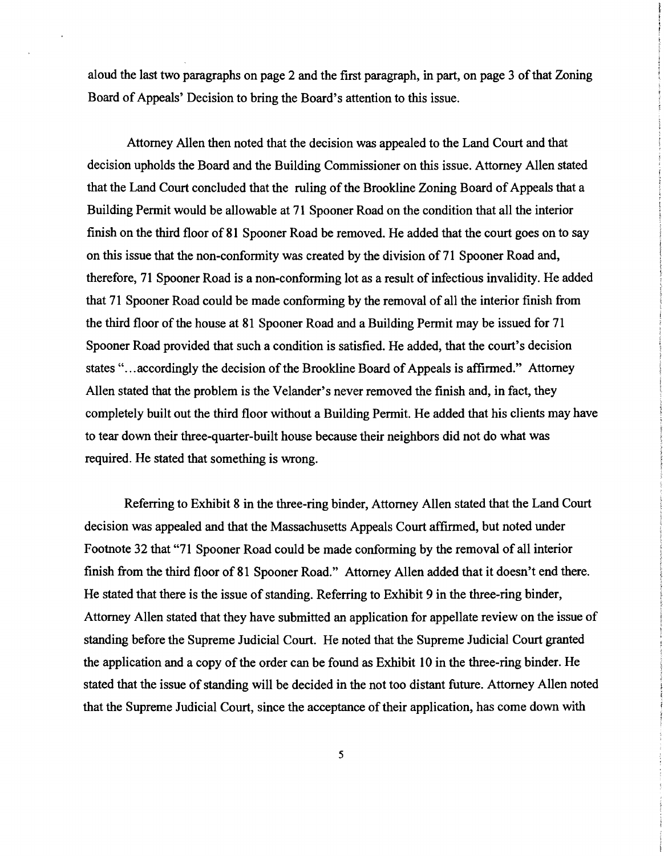aloud the last two paragraphs on page 2 and the first paragraph, in part, on page 3 ofthat Zoning Board of Appeals' Decision to bring the Board's attention to this issue.

Attorney Allen then noted that the decision was appealed to the Land Court and that decision upholds the Board and the Building Commissioner on this issue. Attorney Allen stated that the Land Court concluded that the ruling of the Brookline Zoning Board of Appeals that a Building Pennit would be allowable at 71 Spooner Road on the condition that all the interior finish on the third floor of 81 Spooner Road be removed. He added that the court goes on to say on this issue that the non-conformity was created by the division of 71 Spooner Road and, therefore, 71 Spooner Road is a non-conforming lot as a result of infectious invalidity. He added that 71 Spooner Road could be made conforming by the removal of all the interior finish from the third floor of the house at 81 Spooner Road and a Building Permit may be issued for 71 Spooner Road provided that such a condition is satisfied. He added, that the court's decision states "...accordingly the decision of the Brookline Board of Appeals is affirmed." Attorney Allen stated that the problem is the Velander's never removed the finish and, in fact, they completely built out the third floor without a Building Permit. He added that his clients may have to tear down their three-quarter-built house because their neighbors did not do what was required. He stated that something is wrong.

Referring to Exhibit 8 in the three-ring binder, Attorney Allen stated that the Land Court decision was appealed and that the Massachusetts Appeals Court affirmed, but noted under Footnote 32 that "71 Spooner Road could be made conforming by the removal of all interior finish from the third floor of 81 Spooner Road." Attorney Allen added that it doesn't end there. He stated that there is the issue of standing. Referring to Exhibit 9 in the three-ring binder, Attorney Allen stated that they have submitted an application for appellate review on the issue of standing before the Supreme Judicial Court. He noted that the Supreme Judicial Court granted the application and a copy of the order can be found as Exhibit 10 in the three-ring binder. He stated that the issue of standing will be decided in the not too distant future. Attorney Allen noted that the Supreme Judicial Court, since the acceptance of their application, has come down with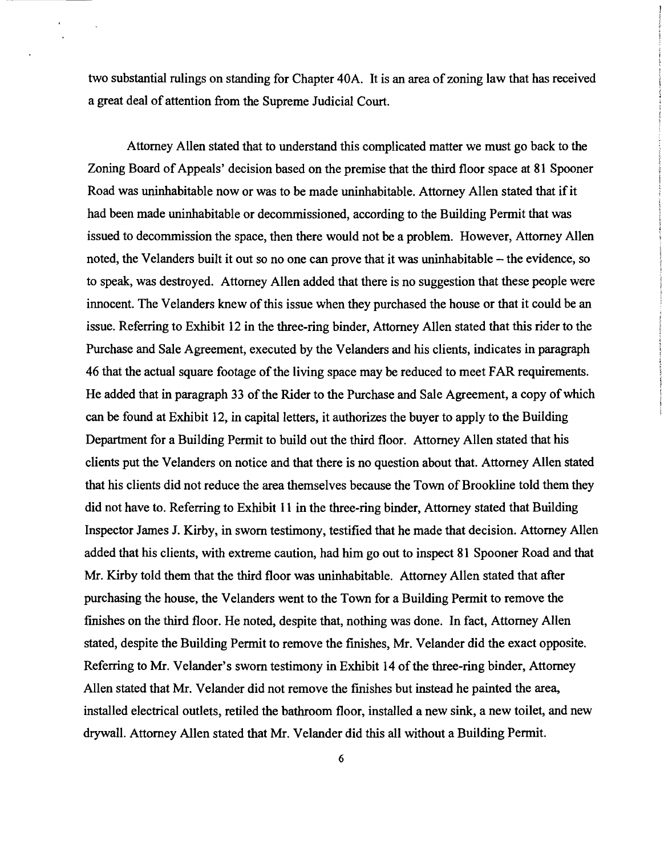two substantial rulings on standing for Chapter 40A. It is an area of zoning law that has received a great deal of attention from the Supreme Judicial Court.

Attorney Allen stated that to understand this complicated matter we must go back to the Zoning Board of Appeals' decision based on the premise that the third floor space at 81 Spooner Road was uninhabitable now or was to be made uninhabitable. Attorney Allen stated that if it had been made uninhabitable or decommissioned, according to the Building Permit that was issued to decommission the space, then there would not be a problem. However, Attorney Allen noted, the Velanders built it out so no one can prove that it was uninhabitable - the evidence, so to speak, was destroyed. Attorney Allen added that there is no suggestion that these people were innocent. The Velanders knew of this issue when they purchased the house or that it could be an issue. Referring to Exhibit 12 in the three-ring binder, Attorney Allen stated that this rider to the Purchase and Sale Agreement, executed by the Velanders and his clients, indicates in paragraph 46 that the actual square footage of the living space may be reduced to meet FAR requirements. He added that in paragraph 33 of the Rider to the Purchase and Sale Agreement, a copy of which can be found at Exhibit 12, in capital letters, it authorizes the buyer to apply to the Building Department for a Building Permit to build out the third floor. Attorney Allen stated that his clients put the Velanders on notice and that there is no question about that. Attorney Allen stated that his clients did not reduce the area themselves because the Town of Brookline told them they did not have to. Referring to Exhibit 11 in the three-ring binder, Attorney stated that Building Inspector James J. Kirby, in sworn testimony, testified that he made that decision. Attorney Allen added that his clients, with extreme caution, had him go out to inspect 81 Spooner Road and that Mr. Kirby told them that the third floor was uninhabitable. Attorney Allen stated that after purchasing the house, the Velanders went to the Town for a Building Permit to remove the finishes on the third floor. He noted, despite that, nothing was done. In fact, Attorney Allen stated, despite the Building Permit to remove the finishes, Mr. Velander did the exact opposite. Referring to Mr. Velander's sworn testimony in Exhibit 14 of the three-ring binder, Attorney Allen stated that Mr. Velander did not remove the finishes but instead he painted the area, installed electrical outlets, retiled the bathroom floor, installed a new sink, a new toilet, and new drywall. Attorney Allen stated that Mr. Velander did this all without a Building Permit.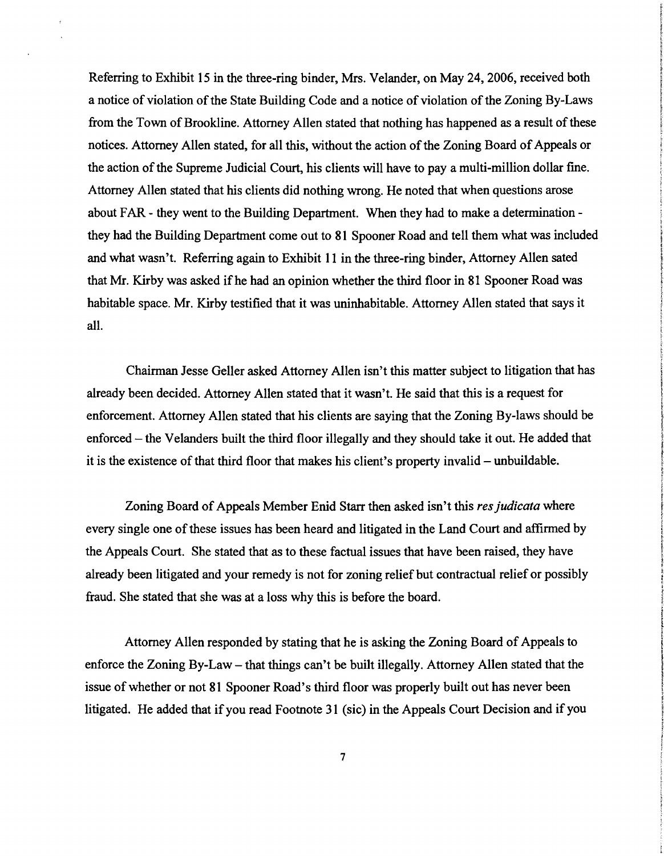Referring to Exhibit 15 in the three-ring binder, Mrs. Velander, on May 24, 2006, received both a notice of violation of the State Building Code and a notice of violation of the Zoning By-Laws from the Town of Brookline. Attorney Allen stated that nothing has happened as a result of these notices. Attorney Allen stated, for all this, without the action of the Zoning Board of Appeals or the action of the Supreme Judicial Court, his clients will have to pay a multi-million dollar fine. Attorney Allen stated that his clients did nothing wrong. He noted that when questions arose about FAR - they went to the Building Department. When they had to make a determination they had the Building Department come out to 81 Spooner Road and tell them what was included and what wasn't. Referring again to Exhibit 11 in the three-ring binder, Attorney Allen sated that Mr. Kirby was asked ifhe had an opinion whether the third floor in 81 Spooner Road was habitable space. Mr. Kirby testified that it was uninhabitable. Attorney Allen stated that says it all.

Chairman Jesse Geller asked Attorney Allen isn't this matter subject to litigation that has already been decided. Attorney Allen stated that it wasn't. He said that this is a request for enforcement. Attorney Allen stated that his clients are saying that the Zoning By-laws should be enforced – the Velanders built the third floor illegally and they should take it out. He added that it is the existence of that third floor that makes his client's property invalid – unbuildable.

Zoning Board of Appeals Member Enid Starr then asked isn't this *resjudicata* where every single one of these issues has been heard and litigated in the Land Court and affirmed by the Appeals Court. She stated that as to these factual issues that have been raised, they have already been litigated and your remedy is not for zoning relief but contractual relief or possibly fraud. She stated that she was at a loss why this is before the board.

Attorney Allen responded by stating that he is asking the Zoning Board of Appeals to enforce the Zoning By-Law – that things can't be built illegally. Attorney Allen stated that the issue of whether or not 81 Spooner Road's third floor was properly built out has never been litigated. He added that if you read Footnote 31 (sic) in the Appeals Court Decision and if you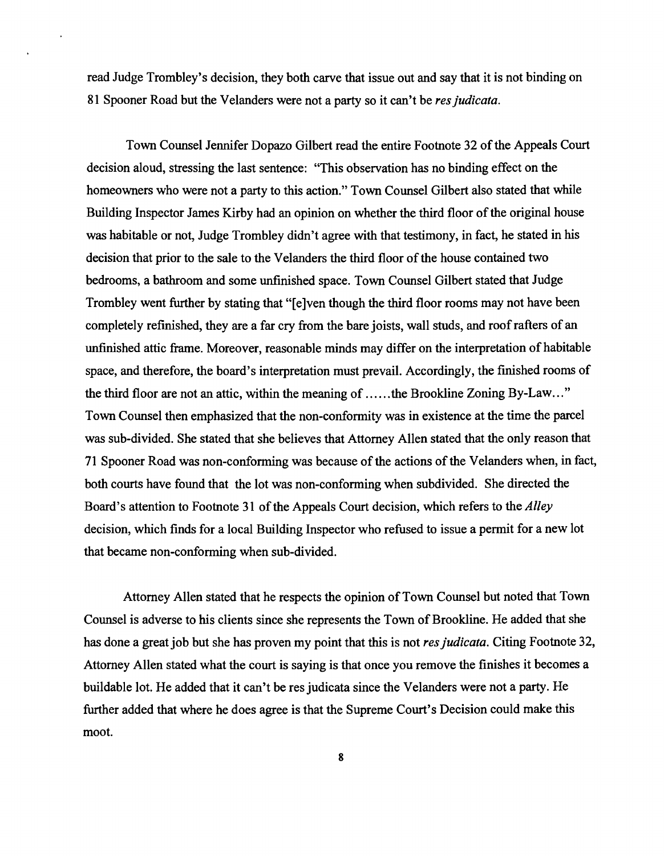read Judge Trombley's decision, they both carve that issue out and say that it is not binding on 81 Spooner Road but the Velanders were not a party so it can't be *resjudicata.* 

Town Counsel Jennifer Dopazo Gilbert read the entire Footnote 32 ofthe Appeals Court decision aloud, stressing the last sentence: "This observation has no binding effect on the homeowners who were not a party to this action." Town Counsel Gilbert also stated that while Building Inspector James Kirby had an opinion on whether the third floor of the original house was habitable or not, Judge Trombley didn't agree with that testimony, in fact, he stated in his decision that prior to the sale to the Velanders the third floor of the house contained two bedrooms, a bathroom and some unfinished space. Town Counsel Gilbert stated that Judge Trombley went further by stating that "[e]ven though the third floor rooms may not have been completely refinished, they are a far cry from the bare joists, wall studs, and roof rafters of an unfinished attic frame. Moreover, reasonable minds may differ on the interpretation of habitable space, and therefore, the board's interpretation must prevail. Accordingly, the finished rooms of the third floor are not an attic, within the meaning of ......the Brookline Zoning By-Law..." Town Counsel then emphasized that the non-confonnity was in existence at the time the parcel was sub-divided. She stated that she believes that Attorney Allen stated that the only reason that 71 Spooner Road was non-confonning was because of the actions of the Velanders when, in fact, both courts have found that the lot was non-conforming when subdivided. She directed the Board's attention to Footnote 31 of the Appeals Court decision, which refers to the *Alley* decision, which finds for a local Building Inspector who refused to issue a permit for a new lot that became non-conforming when sub-divided.

Attorney Allen stated that he respects the opinion of Town Counsel but noted that Town Counsel is adverse to his clients since she represents the Town of Brookline. He added that she has done a great job but she has proven my point that this is not *resjudicata.* Citing Footnote 32, Attorney Allen stated what the court is saying is that once you remove the finishes it becomes a buildable lot. He added that it can't be res judicata since the Velanders were not a party. He further added that where he does agree is that the Supreme Court's Decision could make this moot.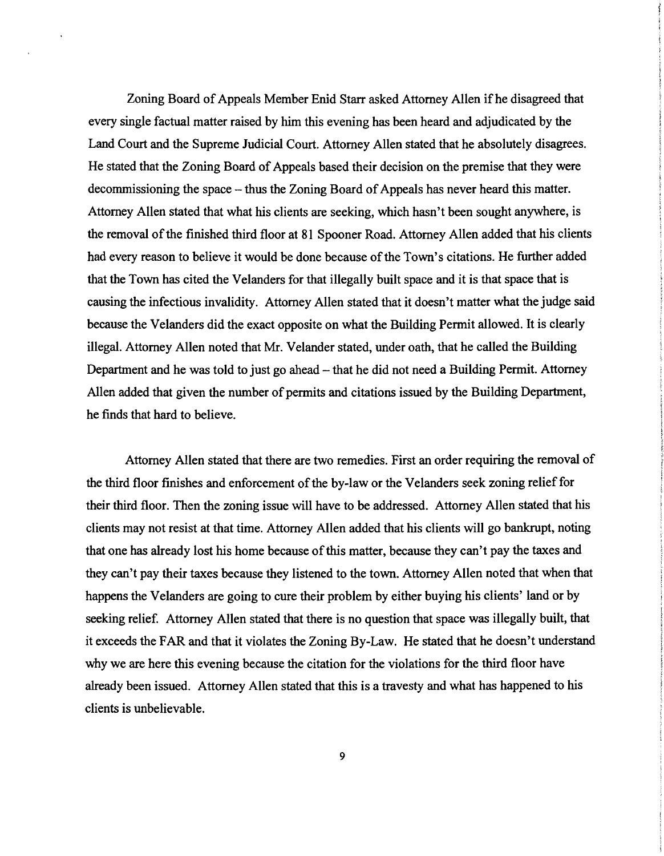Zoning Board of Appeals Member Enid Starr asked Attorney Allen if he disagreed that every single factual matter raised by him this evening has been heard and adjudicated by the Land Court and the Supreme Judicial Court. Attorney Allen stated that he absolutely disagrees. He stated that the Zoning Board of Appeals based their decision on the premise that they were decommissioning the space – thus the Zoning Board of Appeals has never heard this matter. Attorney Allen stated that what his clients are seeking, which hasn't been sought anywhere, is the removal of the finished third floor at 81 Spooner Road. Attorney Allen added that his clients had every reason to believe it would be done because of the Town's citations. He further added that the Town has cited the Velanders for that illegally built space and it is that space that is causing the infectious invalidity. Attorney Allen stated that it doesn't matter what the judge said because the Velanders did the exact opposite on what the Building Permit allowed. It is clearly illegal. Attorney Allen noted that Mr. Velander stated, under oath, that he called the Building Department and he was told to just go ahead – that he did not need a Building Permit. Attorney Allen added that given the number of permits and citations issued by the Building Department, he finds that hard to believe.

Attorney Allen stated that there are two remedies. First an order requiring the removal of the third floor finishes and enforcement of the by-law or the Velanders seek zoning relief for their third floor. Then the zoning issue will have to be addressed. Attorney Allen stated that his clients may not resist at that time. Attorney Allen added that his clients will go bankrupt, noting that one has already lost his home because of this matter, because they can't pay the taxes and they can't pay their taxes because they listened to the town. Attorney Allen noted that when that happens the Velanders are going to cure their problem by either buying his clients' land or by seeking relief. Attorney Allen stated that there is no question that space was illegally built, that it exceeds the FAR and that it violates the Zoning By-Law. He stated that he doesn't understand why we are here this evening because the citation for the violations for the third floor have already been issued. Attorney Allen stated that this is a travesty and what has happened to his clients is unbelievable.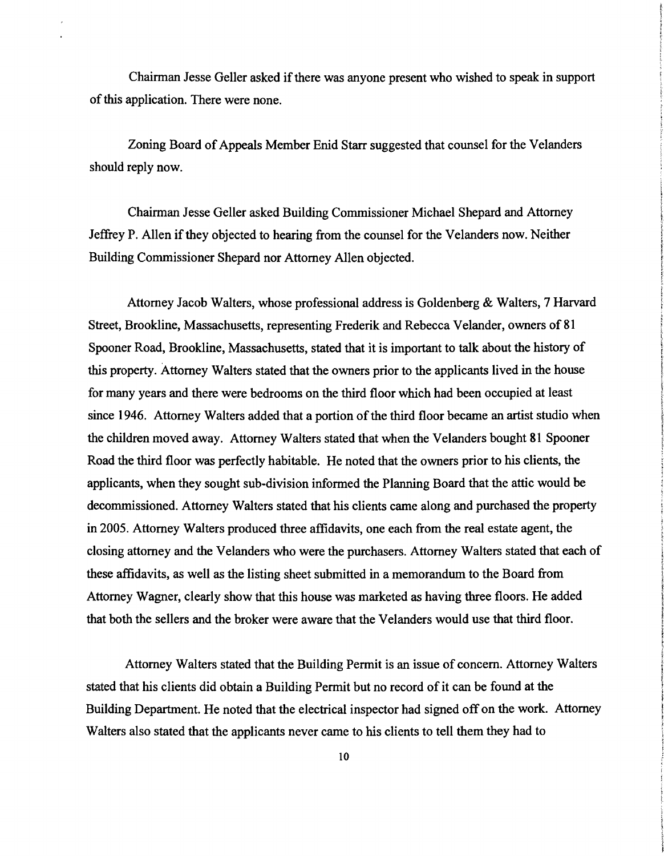Chairman Jesse Geller asked if there was anyone present who wished to speak in support of this application. There were none.

Zoning Board of Appeals Member Enid Starr suggested that counsel for the Velanders should reply now.

Chairman Jesse Geller asked Building Commissioner Michael Shepard and Attorney Jeffrey P. Allen if they objected to hearing from the counsel for the Velanders now. Neither Building Commissioner Shepard nor Attorney Allen objected.

Attorney Jacob Walters, whose professional address is Goldenberg & Walters, 7 Harvard Street, Brookline, Massachusetts, representing Frederik and Rebecca Velander, owners of 81 Spooner Road, Brookline, Massachusetts, stated that it is important to talk about the history of this property. Attorney Walters stated that the owners prior to the applicants lived in the house for many years and there were bedrooms on the third floor which had been occupied at least since 1946. Attorney Walters added that a portion of the third floor became an artist studio when the children moved away. Attorney Walters stated that when the Ve1anders bought 81 Spooner Road the third floor was perfectly habitable. He noted that the owners prior to his clients, the applicants, when they sought sub-division informed the Planning Board that the attic would be decommissioned. Attorney Walters stated that his clients came along and purchased the property in 2005. Attorney Walters produced three affidavits, one each from the real estate agent, the closing attorney and the Velanders who were the purchasers. Attorney Walters stated that each of these affidavits, as well as the listing sheet submitted in a memorandum to the Board from Attorney Wagner, clearly show that this house was marketed as having three floors. He added that both the sellers and the broker were aware that the Ve1anders would use that third floor.

Attorney Walters stated that the Building Permit is an issue of concern. Attorney Walters stated that his clients did obtain a Building Permit but no record of it can be found at the Building Department. He noted that the electrical inspector had signed off on the work. Attorney Walters also stated that the applicants never came to his clients to tell them they had to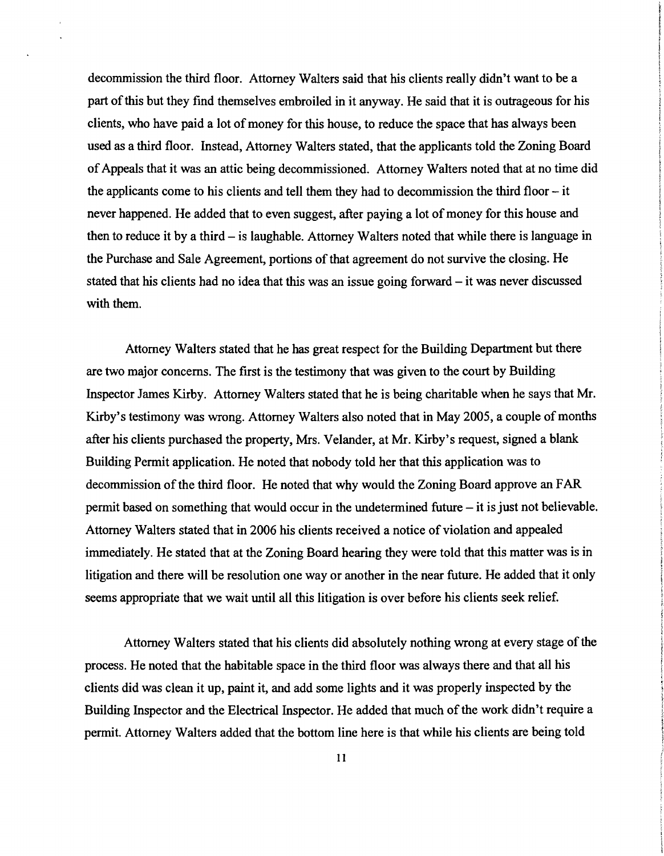decommission the third floor. Attorney Walters said that his clients really didn't want to be a part of this but they find themselves embroiled in it anyway. He said that it is outrageous for his clients, who have paid a lot of money for this house, to reduce the space that has always been used as a third floor. Instead, Attorney Walters stated, that the applicants told the Zoning Board ofAppeals that it was an attic being decommissioned. Attorney Walters noted that at no time did the applicants come to his clients and tell them they had to decommission the third floor  $-$  it never happened. He added that to even suggest, after paying a lot of money for this house and then to reduce it by a third – is laughable. Attorney Walters noted that while there is language in the Purchase and Sale Agreement, portions of that agreement do not survive the closing. He stated that his clients had no idea that this was an issue going forward  $-$  it was never discussed with them.

Attorney Walters stated that he has great respect for the Building Department but there are two major concerns. The first is the testimony that was given to the court by Building Inspector James Kirby. Attorney Walters stated that he is being charitable when he says that Mr. Kirby's testimony was wrong. Attorney Walters also noted that in May 2005, a couple of months after his clients purchased the property, Mrs. Velander, at Mr. Kirby's request, signed a blank Building Permit application. He noted that nobody told her that this application was to decommission of the third floor. He noted that why would the Zoning Board approve an FAR permit based on something that would occur in the undetermined future  $-$  it is just not believable. Attorney Walters stated that in 2006 his clients received a notice of violation and appealed immediately. He stated that at the Zoning Board hearing they were told that this matter was is in litigation and there will be resolution one way or another in the near future. He added that it only seems appropriate that we wait until all this litigation is over before his clients seek relief.

Attorney Walters stated that his clients did absolutely nothing wrong at every stage of the process. He noted that the habitable space in the third floor was always there and that all his clients did was clean it up, paint it, and add some lights and it was properly inspected by the Building Inspector and the Electrical Inspector. He added that much of the work didn't require a permit. Attorney Walters added that the bottom line here is that while his clients are being told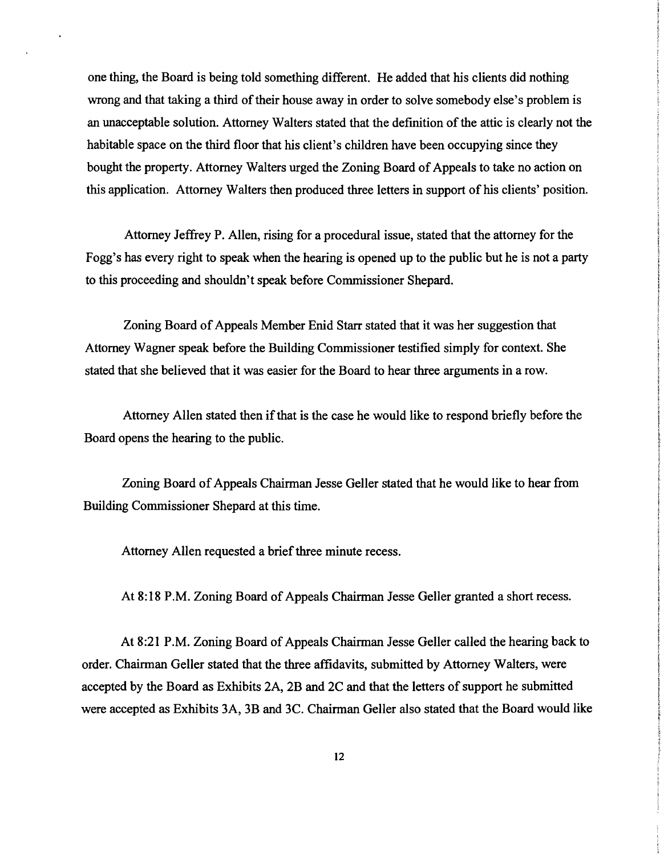one thing, the Board is being told something different. He added that his clients did nothing wrong and that taking a third of their house away in order to solve somebody else's problem is an unacceptable solution. Attorney Walters stated that the definition ofthe attic is clearly not the habitable space on the third floor that his client's children have been occupying since they bought the property. Attorney Walters urged the Zoning Board of Appeals to take no action on this application. Attorney Walters then produced three letters in support of his clients' position.

Attorney Jeffrey P. Allen, rising for a procedural issue, stated that the attorney for the Fogg's has every right to speak when the hearing is opened up to the public but he is not a party to this proceeding and shouldn't speak before Commissioner Shepard.

Zoning Board of Appeals Member Enid Starr stated that it was her suggestion that Attorney Wagner speak before the Building Commissioner testified simply for context. She stated that she believed that it was easier for the Board to hear three arguments in a row.

Attorney Allen stated then if that is the case he would like to respond briefly before the Board opens the hearing to the public.

Zoning Board of Appeals Chairman Jesse Geller stated that he would like to hear from Building Commissioner Shepard at this time.

Attorney Allen requested a brief three minute recess.

At 8:18 P.M. Zoning Board of Appeals Chairman Jesse Geller granted a short recess.

At 8:21 P.M. Zoning Board of Appeals Chairman Jesse Geller called the hearing back to order. Chairman Geller stated that the three affidavits, submitted by Attorney Walters, were accepted by the Board as Exhibits 2A, 2B and 2C and that the letters of support he submitted were accepted as Exhibits 3A, 3B and 3C. Chairman Geller also stated that the Board would like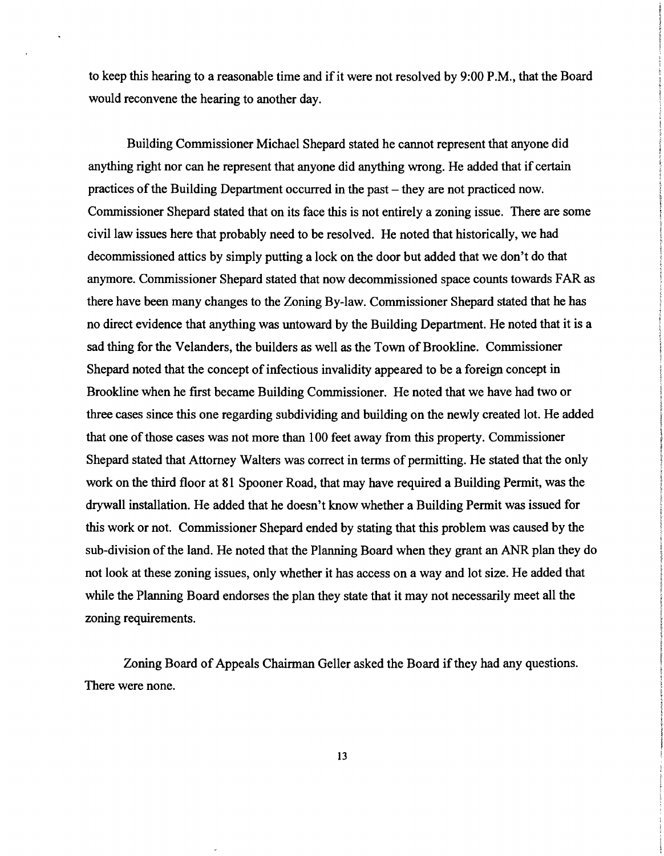to keep this hearing to a reasonable time and if it were not resolved by 9:00 P.M., that the Board would reconvene the hearing to another day.

Building Commissioner Michael Shepard stated he cannot represent that anyone did anything right nor can he represent that anyone did anything wrong. He added that if certain practices of the Building Department occurred in the past – they are not practiced now. Commissioner Shepard stated that on its face this is not entirely a zoning issue. There are some civil law issues here that probably need to be resolved. He noted that historically, we had decommissioned attics by simply putting a lock on the door but added that we don't do that anymore. Commissioner Shepard stated that now decommissioned space counts towards FAR as there have been many changes to the Zoning By-law. Commissioner Shepard stated that he has no direct evidence that anything was untoward by the Building Department. He noted that it is a sad thing for the Velanders, the builders as well as the Town of Brookline. Commissioner Shepard noted that the concept of infectious invalidity appeared to be a foreign concept in Brookline when he first became Building Commissioner. He noted that we have had two or three cases since this one regarding subdividing and building on the newly created lot. He added that one of those cases was not more than 100 feet away from this property. Commissioner Shepard stated that Attorney Walters was correct in terms of permitting. He stated that the only work on the third floor at 81 Spooner Road, that may have required a Building Permit, was the drywall installation. He added that he doesn't know whether a Building Permit was issued for this work or not. Commissioner Shepard ended by stating that this problem was caused by the sub-division of the land. He noted that the Planning Board when they grant an ANR plan they do not look at these zoning issues, only whether it has access on a way and lot size. He added that while the Planning Board endorses the plan they state that it may not necessarily meet all the zoning requirements.

Zoning Board of Appeals Chairman Geller asked the Board if they had any questions. There were none.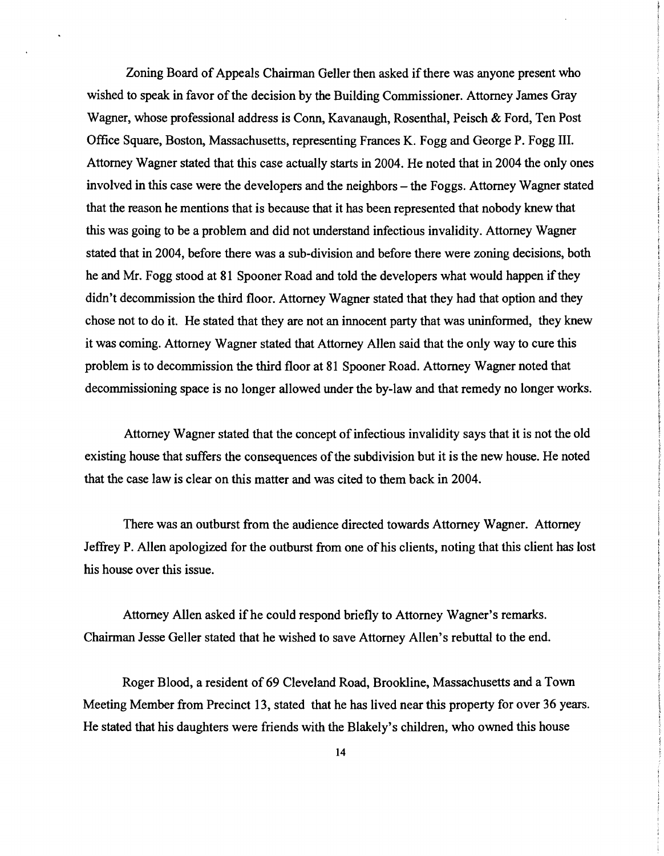Zoning Board of Appeals Chairman Geller then asked if there was anyone present who wished to speak in favor of the decision by the Building Commissioner. Attorney James Gray Wagner, whose professional address is Conn, Kavanaugh, Rosenthal, Peisch & Ford, Ten Post Office Square, Boston, Massachusetts, representing Frances K. Fogg and George P. Fogg III. Attorney Wagner stated that this case actually starts in 2004. He noted that in 2004 the only ones involved in this case were the developers and the neighbors – the Foggs. Attorney Wagner stated that the reason he mentions that is because that it has been represented that nobody knew that this was going to be a problem and did not understand infectious invalidity. Attorney Wagner stated that in 2004, before there was a sub-division and before there were zoning decisions, both he and Mr. Fogg stood at 81 Spooner Road and told the developers what would happen if they didn't decommission the third floor. Attorney Wagner stated that they had that option and they chose not to do it. He stated that they are not an innocent party that was uninfonned, they knew it was coming. Attorney Wagner stated that Attorney Allen said that the only way to cure this problem is to decommission the third floor at 81 Spooner Road. Attorney Wagner noted that decommissioning space is no longer allowed under the by-law and that remedy no longer works.

Attorney Wagner stated that the concept of infectious invalidity says that it is not the old existing house that suffers the consequences of the subdivision but it is the new house. He noted that the case law is clear on this matter and was cited to them back in 2004.

There was an outburst from the audience directed towards Attorney Wagner. Attorney Jeffrey P. Allen apologized for the outburst from one of his clients, noting that this client has lost his house over this issue.

Attorney Allen asked if he could respond briefly to Attorney Wagner's remarks. Chairman Jesse Geller stated that he wished to save Attorney Allen's rebuttal to the end.

Roger Blood, a resident of 69 Cleveland Road, Brookline, Massachusetts and a Town Meeting Member from Precinct 13, stated that he has lived near this property for over 36 years. He stated that his daughters were friends with the Blakely's children, who owned this house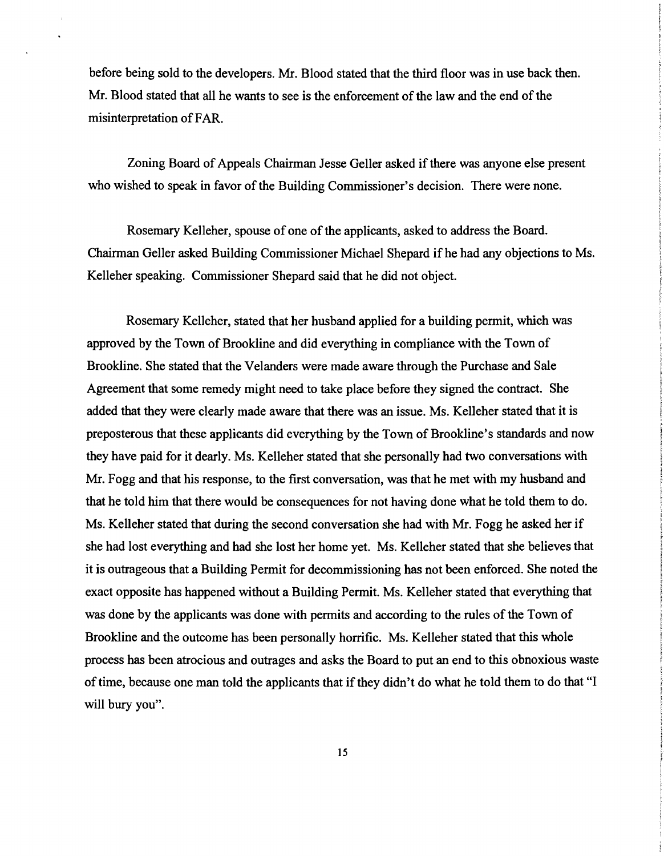before being sold to the developers. Mr. Blood stated that the third floor was in use back then. Mr. Blood stated that all he wants to see is the enforcement of the law and the end of the misinterpretation of FAR.

Zoning Board of Appeals Chairman Jesse Geller asked if there was anyone else present who wished to speak in favor of the Building Commissioner's decision. There were none.

Rosemary Kelleher, spouse of one of the applicants, asked to address the Board. Chairman Geller asked Building Commissioner Michael Shepard ifhe had any objections to Ms. Kelleher speaking. Commissioner Shepard said that he did not object.

Rosemary Kelleher, stated that her husband applied for a building permit, which was approved by the Town of Brookline and did everything in compliance with the Town of Brookline. She stated that the Velanders were made aware through the Purchase and Sale Agreement that some remedy might need to take place before they signed the contract. She added that they were clearly made aware that there was an issue. Ms. Kelleher stated that it is preposterous that these applicants did everything by the Town of Brooldine's standards and now they have paid for it dearly. Ms. Kelleher stated that she personally had two conversations with Mr. Fogg and that his response, to the first conversation, was that he met with my husband and that he told him that there would be consequences for not having done what he told them to do. Ms. Kelleher stated that during the second conversation she had with Mr. Fogg he asked her if she had lost everything and had she lost her home yet. Ms. Kelleher stated that she believes that it is outrageous that a Building Permit for decommissioning has not been enforced. She noted the exact opposite has happened without a Building Permit. Ms. Kelleher stated that everything that was done by the applicants was done with permits and according to the rules of the Town of Brookline and the outcome has been personally horrific. Ms. Kelleher stated that this whole process has been atrocious and outrages and asks the Board to put an end to this obnoxious waste of time, because one man told the applicants that if they didn't do what he told them to do that "I will bury you".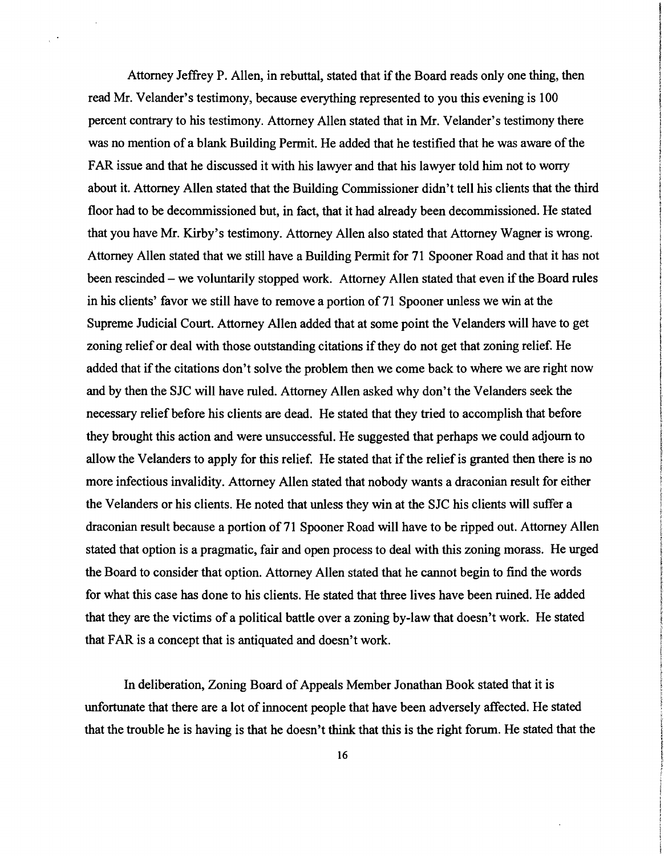Attorney Jeffrey P. Allen, in rebuttal, stated that if the Board reads only one thing, then read Mr. Velander's testimony, because everything represented to you this evening is 100 percent contrary to his testimony. Attorney Allen stated that in Mr. Velander's testimony there was no mention of a blank Building Permit. He added that he testified that he was aware of the FAR issue and that he discussed it with his lawyer and that his lawyer told him not to worry about it. Attorney Allen stated that the Building Commissioner didn't tell his clients that the third floor had to be decommissioned but, in fact, that it had already been decommissioned. He stated that you have Mr. Kirby's testimony. Attorney Allen also stated that Attorney Wagner is wrong. Attorney Allen stated that we still have a Building Permit for 71 Spooner Road and that it has not been rescinded – we voluntarily stopped work. Attorney Allen stated that even if the Board rules in his clients' favor we still have to remove a portion of 71 Spooner unless we win at the Supreme Judicial Court. Attorney Allen added that at some point the Velanders will have to get zoning relief or deal with those outstanding citations if they do not get that zoning relief. He added that if the citations don't solve the problem then we come back to where we are right now and by then the SJC will have ruled. Attorney Allen asked why don't the Velanders seek the necessary relief before his clients are dead. He stated that they tried to accomplish that before they brought this action and were unsuccessful. He suggested that perhaps we could adjourn to allow the Velanders to apply for this relief. He stated that if the relief is granted then there is no more infectious invalidity. Attorney Allen stated that nobody wants a draconian result for either the Velanders or his clients. He noted that unless they win at the SJC his clients will suffer a draconian result because a portion of 71 Spooner Road will have to be ripped out. Attorney Allen stated that option is a pragmatic, fair and open process to deal with this zoning morass. He urged the Board to consider that option. Attorney Allen stated that he cannot begin to find the words for what this case has done to his clients. He stated that three lives have been ruined. He added that they are the victims of a political battle over a zoning by-law that doesn't work. He stated that FAR is a concept that is antiquated and doesn't work.

In deliberation, Zoning Board of Appeals Member Jonathan Book stated that it is unfortunate that there are a lot of innocent people that have been adversely affected. He stated that the trouble he is having is that he doesn't think that this is the right forum. He stated that the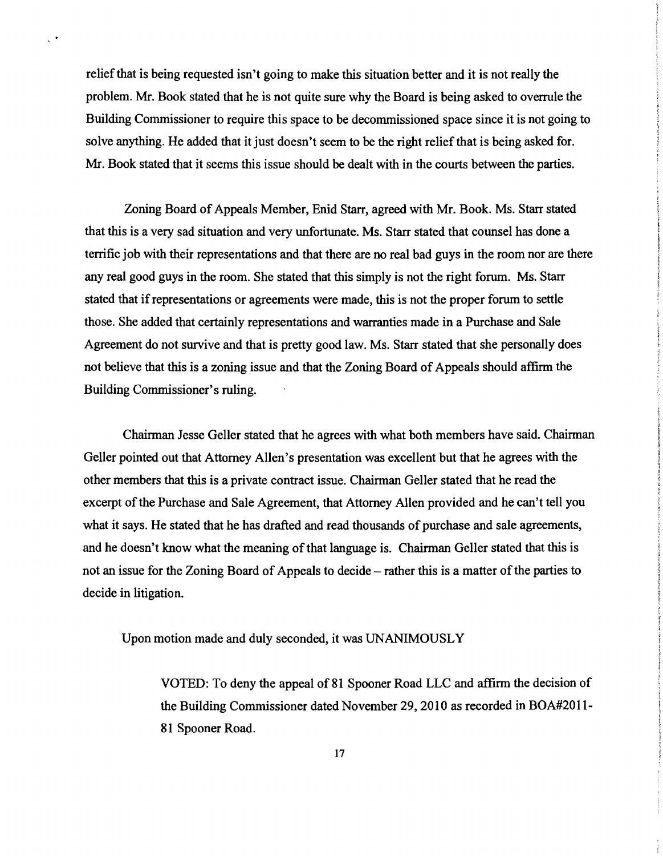relief that is being requested isn't going to make this situation better and it is not really the problem. Mr. Book stated that he is not quite sure why the Board is being asked to overrule the Building Commissioner to require this space to be decommissioned space since it is not going to solve anything. He added that it just doesn't seem to be the right relief that is being asked for. Mr. Book stated that it seems this issue should be dealt with in the courts between the parties.

 $\chi^{\pm\frac{1}{2}}$ 

Zoning Board of Appeals Member, Enid Starr, agreed with Mr. Book. Ms. Starr stated that this is a very sad situation and very unfortunate. Ms. Starr stated that counsel has done a terrific job with their representations and that there are no real bad guys in the room nor are there any real good guys in the room. She stated that this simply is not the right forum. Ms. Starr stated that if representations or agreements were made, this is not the proper forum to settle those. She added that certainly representations and warranties made in a Purchase and Sale Agreement do not survive and that is pretty good law. Ms. Starr stated that she personally does not believe that this is a zoning issue and that the Zoning Board of Appeals should affirm the Building Commissioner's ruling.

Chairman Jesse Geller stated that he agrees with what both members have said. Chairman Geller pointed out that Attorney Allen's presentation was excellent but that he agrees with the other members that this is a private contract issue. Chairman Geller stated that he read the excerpt of the Purchase and Sale Agreement, that Attorney Allen provided and he can't tell you what it says. He stated that he has drafted and read thousands of purchase and sale agreements, and he doesn't know what the meaning of that language is. Chairman Geller stated that this is not an issue for the Zoning Board of Appeals to decide – rather this is a matter of the parties to decide in litigation.

Upon motion made and duly seconded, it was UNANIMOUSLY

VOTED: To deny the appeal of 81 Spooner Road LLC and affirm the decision of the Building Commissioner dated November 29, 2010 as recorded in BOA#2011 81 Spooner Road.